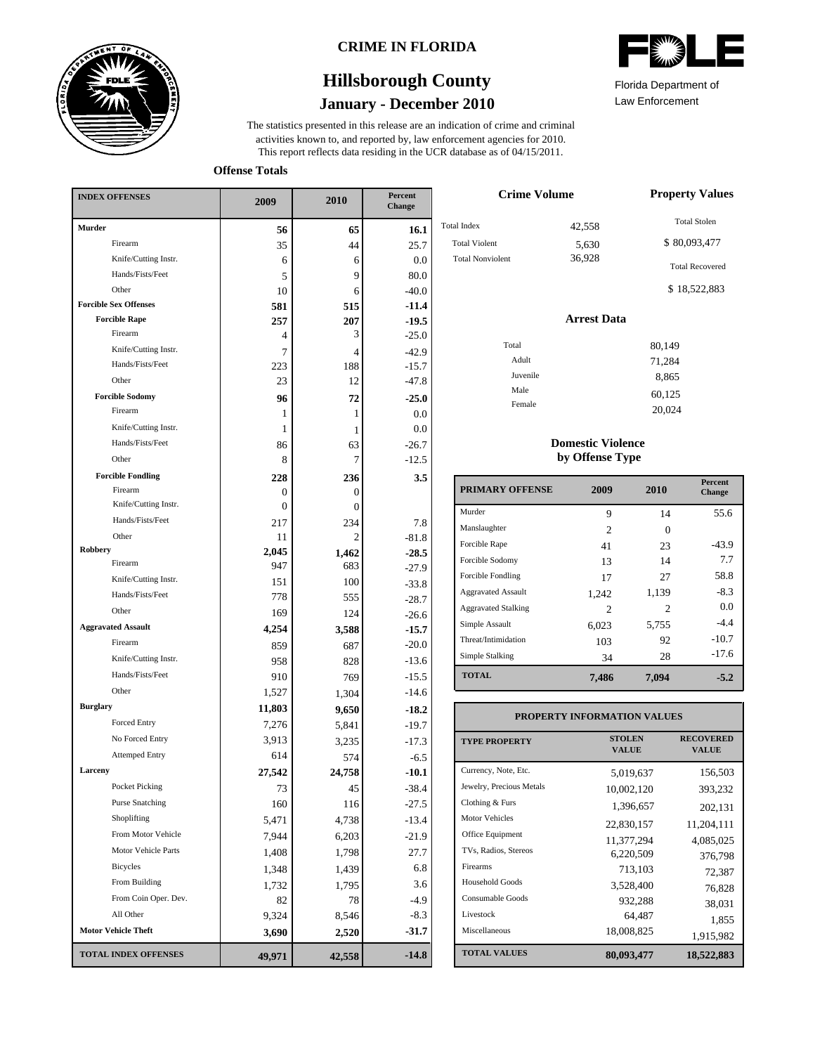

### **CRIME IN FLORIDA**

## **January - December 2010 Hillsborough County**

This report reflects data residing in the UCR database as of 04/15/2011. activities known to, and reported by, law enforcement agencies for 2010. The statistics presented in this release are an indication of crime and criminal



Law Enforcement Florida Department of

20,024

**Offense Totals**

| <b>INDEX OFFENSES</b>        | 2009     | 2010           | Percent<br>Change |  |
|------------------------------|----------|----------------|-------------------|--|
| <b>Murder</b>                | 56       | 65             | 16.1              |  |
| Firearm                      | 35       | 44             | 25.7              |  |
| Knife/Cutting Instr.         | 6        | 6              | 0.0               |  |
| Hands/Fists/Feet             | 5        | 9              | 80.0              |  |
| Other                        | 10       | 6              | $-40.0$           |  |
| <b>Forcible Sex Offenses</b> | 581      | 515            | $-11.4$           |  |
| <b>Forcible Rape</b>         | 257      | 207            | $-19.5$           |  |
| Firearm                      | 4        | 3              | $-25.0$           |  |
| Knife/Cutting Instr.         | 7        | $\overline{4}$ | $-42.9$           |  |
| Hands/Fists/Feet             | 223      | 188            | $-15.7$           |  |
| Other                        | 23       | 12             | $-47.8$           |  |
| <b>Forcible Sodomy</b>       | 96       | 72             | $-25.0$           |  |
| Firearm                      | 1        | 1              | 0.0               |  |
| Knife/Cutting Instr.         | 1        | 1              | 0.0               |  |
| Hands/Fists/Feet             | 86       | 63             | $-26.7$           |  |
| Other                        | 8        | 7              | $-12.5$           |  |
| <b>Forcible Fondling</b>     | 228      | 236            | 3.5               |  |
| Firearm                      | 0        | 0              |                   |  |
| Knife/Cutting Instr.         | $\Omega$ | 0              |                   |  |
| Hands/Fists/Feet             | 217      | 234            | 7.8               |  |
| Other                        | 11       | 2              | $-81.8$           |  |
| Robbery<br>Firearm           | 2,045    | 1,462          | $-28.5$           |  |
| Knife/Cutting Instr.         | 947      | 683            | $-27.9$           |  |
| Hands/Fists/Feet             | 151      | 100            | $-33.8$           |  |
| Other                        | 778      | 555            | $-28.7$           |  |
|                              | 169      | 124            | $-26.6$           |  |
| <b>Aggravated Assault</b>    | 4,254    | 3,588          | $-15.7$           |  |
| Firearm                      | 859      | 687            | $-20.0$           |  |
| Knife/Cutting Instr.         | 958      | 828            | $-13.6$           |  |
| Hands/Fists/Feet             | 910      | 769            | $-15.5$           |  |
| Other                        | 1,527    | 1,304          | $-14.6$           |  |
| <b>Burglary</b>              | 11,803   | 9,650          | $-18.2$           |  |
| Forced Entry                 | 7,276    | 5,841          | $-19.7$           |  |
| No Forced Entry              | 3,913    | 3,235          | $-17.3$           |  |
| <b>Attemped Entry</b>        | 614      | 574            | $-6.5$            |  |
| Larceny                      | 27,542   | 24,758         | $-10.1$           |  |
| <b>Pocket Picking</b>        | 73       | 45             | $-38.4$           |  |
| <b>Purse Snatching</b>       | 160      | 116            | $-27.5$           |  |
| Shoplifting                  | 5,471    | 4,738          | $-13.4$           |  |
| From Motor Vehicle           | 7,944    | 6,203          | $-21.9$           |  |
| Motor Vehicle Parts          | 1,408    | 1,798          | 27.7              |  |
| <b>Bicycles</b>              | 1,348    | 1,439          | 6.8               |  |
| From Building                | 1,732    | 1,795          | 3.6               |  |
| From Coin Oper. Dev.         | 82       | 78             | $-4.9$            |  |
| All Other                    | 9,324    | 8,546          | $-8.3$            |  |
| <b>Motor Vehicle Theft</b>   | 3,690    | 2,520          | $-31.7$           |  |
| <b>TOTAL INDEX OFFENSES</b>  | 49,971   | 42,558         | $-14.8$           |  |

| <b>Crime Volume</b>                                                   | <b>Property Values</b>    |                                                                               |
|-----------------------------------------------------------------------|---------------------------|-------------------------------------------------------------------------------|
| <b>Total Index</b><br><b>Total Violent</b><br><b>Total Nonviolent</b> | 42,558<br>5,630<br>36,928 | <b>Total Stolen</b><br>\$80,093,477<br><b>Total Recovered</b><br>\$18,522,883 |
|                                                                       | <b>Arrest Data</b>        |                                                                               |
| Total<br>Adult<br>Juvenile<br>Male                                    |                           | 80,149<br>71,284<br>8,865<br>60,125                                           |
| Female                                                                |                           | $\sim$ $\sim$ $\sim$ $\sim$ $\sim$                                            |

### **Domestic Violence by Offense Type**

| <b>PRIMARY OFFENSE</b>     | 2009                        | 2010  | <b>Percent</b><br>Change |
|----------------------------|-----------------------------|-------|--------------------------|
| Murder                     | 9                           | 14    | 55.6                     |
| Manslaughter               | $\mathcal{D}_{\mathcal{L}}$ | 0     |                          |
| Forcible Rape              | 41                          | 23    | $-43.9$                  |
| Forcible Sodomy            | 13                          | 14    | 7.7                      |
| Forcible Fondling          | 17                          | 27    | 58.8                     |
| <b>Aggravated Assault</b>  | 1,242                       | 1,139 | $-8.3$                   |
| <b>Aggravated Stalking</b> | $\mathcal{D}_{\mathcal{A}}$ | 2     | 0.0                      |
| Simple Assault             | 6,023                       | 5,755 | $-4.4$                   |
| Threat/Intimidation        | 103                         | 92    | $-10.7$                  |
| Simple Stalking            | 34                          | 28    | $-17.6$                  |
| <b>TOTAL</b>               | 7,486                       | 7,094 | $-5.2$                   |

#### **TOTAL VALUES VALUE PROPERTY STOLEN RECOVERED PROPERTY INFORMATION VALUES** Currency, Note, Etc. Jewelry, Precious Metals Clothing & Furs Motor Vehicles Office Equipment TVs, Radios, Stereos Firearms Household Goods Consumable Goods Livestock Miscellaneous 5,019,637 156,503 10,002,120 393,232 1,396,657 202,131 22,830,157 11,204,111 11,377,294 4,085,025 6,220,509 376,798 713,103 72,387 3,528,400 76,828 932,288 38,031  $64,487$  1,855<br>18,008,825 1 015.082 1,915,982 **80,093,477 18,522,883**